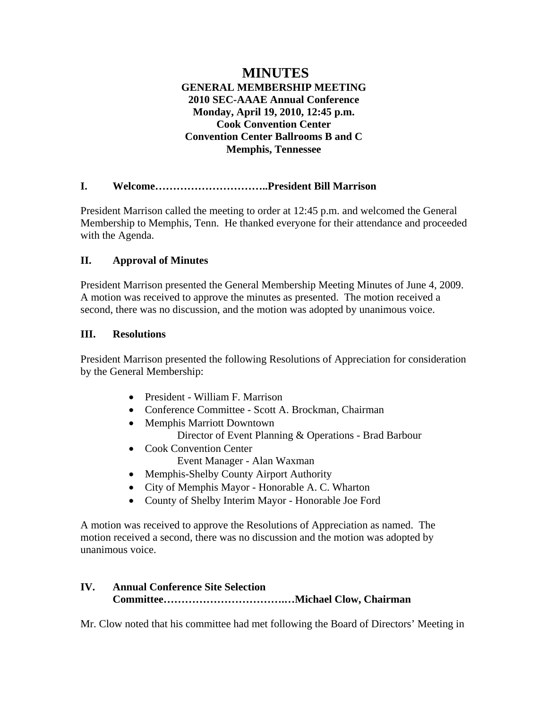# **MINUTES GENERAL MEMBERSHIP MEETING 2010 SEC-AAAE Annual Conference Monday, April 19, 2010, 12:45 p.m. Cook Convention Center Convention Center Ballrooms B and C Memphis, Tennessee**

## **I. Welcome…………………………..President Bill Marrison**

President Marrison called the meeting to order at 12:45 p.m. and welcomed the General Membership to Memphis, Tenn. He thanked everyone for their attendance and proceeded with the Agenda.

#### **II. Approval of Minutes**

President Marrison presented the General Membership Meeting Minutes of June 4, 2009. A motion was received to approve the minutes as presented. The motion received a second, there was no discussion, and the motion was adopted by unanimous voice.

#### **III. Resolutions**

President Marrison presented the following Resolutions of Appreciation for consideration by the General Membership:

- President William F. Marrison
- Conference Committee Scott A. Brockman, Chairman
- Memphis Marriott Downtown Director of Event Planning & Operations - Brad Barbour
- Cook Convention Center
	- Event Manager Alan Waxman
- Memphis-Shelby County Airport Authority
- City of Memphis Mayor Honorable A. C. Wharton
- County of Shelby Interim Mayor Honorable Joe Ford

A motion was received to approve the Resolutions of Appreciation as named. The motion received a second, there was no discussion and the motion was adopted by unanimous voice.

# **IV. Annual Conference Site Selection Committee…………………………….…Michael Clow, Chairman**

Mr. Clow noted that his committee had met following the Board of Directors' Meeting in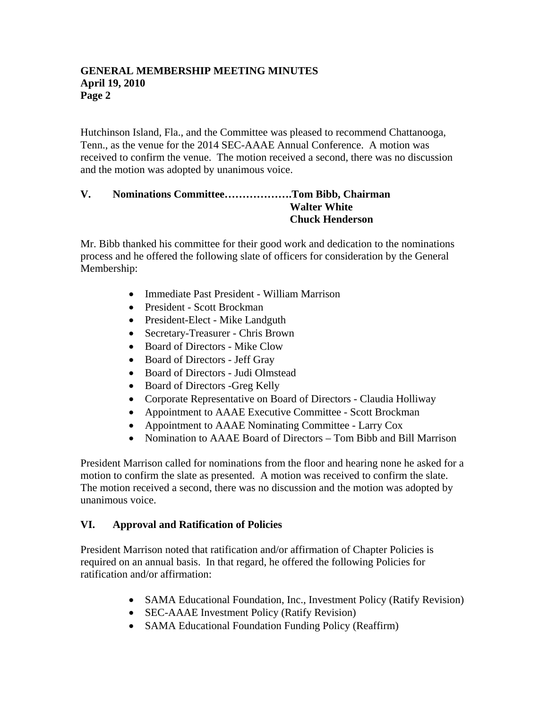#### **GENERAL MEMBERSHIP MEETING MINUTES April 19, 2010 Page 2**

Hutchinson Island, Fla., and the Committee was pleased to recommend Chattanooga, Tenn., as the venue for the 2014 SEC-AAAE Annual Conference. A motion was received to confirm the venue. The motion received a second, there was no discussion and the motion was adopted by unanimous voice.

#### **V. Nominations Committee……………….Tom Bibb, Chairman Walter White Chuck Henderson**

Mr. Bibb thanked his committee for their good work and dedication to the nominations process and he offered the following slate of officers for consideration by the General Membership:

- Immediate Past President William Marrison
- President Scott Brockman
- President-Elect Mike Landguth
- Secretary-Treasurer Chris Brown
- Board of Directors Mike Clow
- Board of Directors Jeff Gray
- Board of Directors Judi Olmstead
- Board of Directors -Greg Kelly
- Corporate Representative on Board of Directors Claudia Holliway
- Appointment to AAAE Executive Committee Scott Brockman
- Appointment to AAAE Nominating Committee Larry Cox
- Nomination to AAAE Board of Directors Tom Bibb and Bill Marrison

President Marrison called for nominations from the floor and hearing none he asked for a motion to confirm the slate as presented. A motion was received to confirm the slate. The motion received a second, there was no discussion and the motion was adopted by unanimous voice.

# **VI. Approval and Ratification of Policies**

President Marrison noted that ratification and/or affirmation of Chapter Policies is required on an annual basis. In that regard, he offered the following Policies for ratification and/or affirmation:

- SAMA Educational Foundation, Inc., Investment Policy (Ratify Revision)
- SEC-AAAE Investment Policy (Ratify Revision)
- SAMA Educational Foundation Funding Policy (Reaffirm)